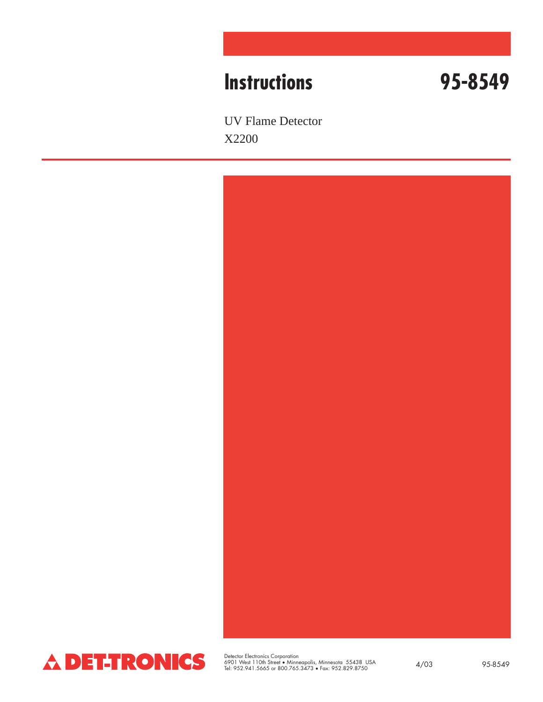# **Instructions 95-8549**

UV Flame Detector X2200





Detector Electronics Corporation 6901 West 110th Street • Minneapolis, Minnesota 55438 USA Tel: 952.941.5665 or 800.765.3473 • Fax: 952.829.8750 4/03 95-8549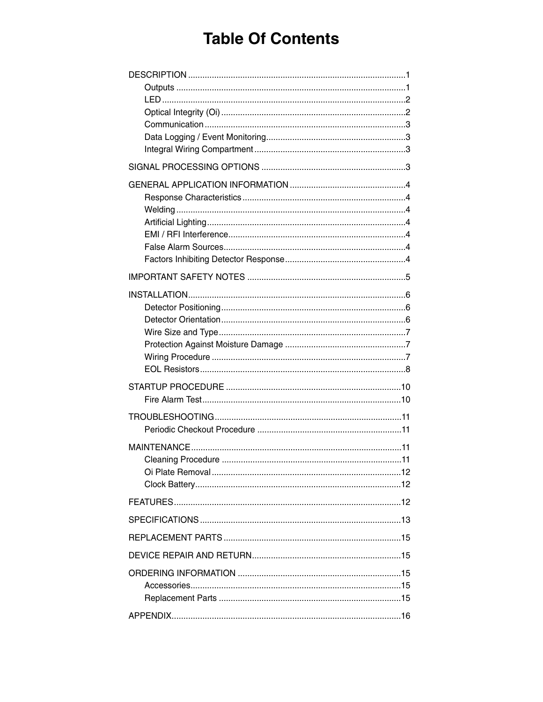# **Table Of Contents**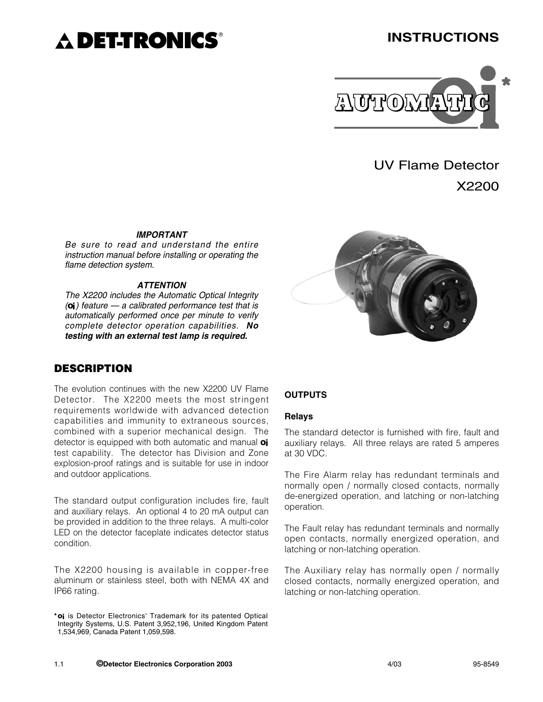# **DET-TRONICS**®

# **INSTRUCTIONS**



UV Flame Detector

X2200

#### *IMPORTANT*

*Be sure to read and understand the entire instruction manual before installing or operating the flame detection system.*

#### *ATTENTION*

*The X2200 includes the Automatic Optical Integrity (oi) feature — a calibrated performance test that is automatically performed once per minute to verify complete detector operation capabilities. No testing with an external test lamp is required.*

# **DESCRIPTION**

The evolution continues with the new X2200 UV Flame Detector. The X2200 meets the most stringent requirements worldwide with advanced detection capabilities and immunity to extraneous sources, combined with a superior mechanical design. The detector is equipped with both automatic and manual **oi** test capability. The detector has Division and Zone explosion-proof ratings and is suitable for use in indoor and outdoor applications.

The standard output configuration includes fire, fault and auxiliary relays. An optional 4 to 20 mA output can be provided in addition to the three relays. A multi-color LED on the detector faceplate indicates detector status condition.

The X2200 housing is available in copper-free aluminum or stainless steel, both with NEMA 4X and IP66 rating.



#### **OUTPUTS**

#### **Relays**

The standard detector is furnished with fire, fault and auxiliary relays. All three relays are rated 5 amperes at 30 VDC.

The Fire Alarm relay has redundant terminals and normally open / normally closed contacts, normally de-energized operation, and latching or non-latching operation.

The Fault relay has redundant terminals and normally open contacts, normally energized operation, and latching or non-latching operation.

The Auxiliary relay has normally open / normally closed contacts, normally energized operation, and latching or non-latching operation.

**<sup>\*</sup>oi** is Detector Electronics' Trademark for its patented Optical Integrity Systems, U.S. Patent 3,952,196, United Kingdom Patent 1,534,969, Canada Patent 1,059,598.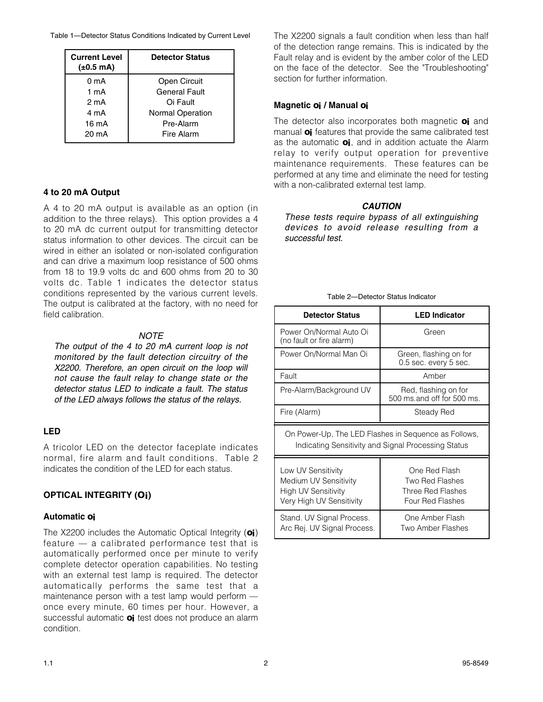Table 1—Detector Status Conditions Indicated by Current Level

| <b>Current Level</b><br>$(\pm 0.5 \text{ mA})$ | <b>Detector Status</b>  |  |
|------------------------------------------------|-------------------------|--|
| 0 <sub>m</sub> A                               | Open Circuit            |  |
| $1 \text{ mA}$                                 | General Fault           |  |
| 2 mA                                           | Oi Fault                |  |
| 4 mA                                           | <b>Normal Operation</b> |  |
| 16 mA                                          | Pre-Alarm               |  |
| 20 mA                                          | Fire Alarm              |  |

### **4 to 20 mA Output**

A 4 to 20 mA output is available as an option (in addition to the three relays). This option provides a 4 to 20 mA dc current output for transmitting detector status information to other devices. The circuit can be wired in either an isolated or non-isolated configuration and can drive a maximum loop resistance of 500 ohms from 18 to 19.9 volts dc and 600 ohms from 20 to 30 volts dc. Table 1 indicates the detector status conditions represented by the various current levels. The output is calibrated at the factory, with no need for field calibration.

#### *NOTE*

*The output of the 4 to 20 mA current loop is not monitored by the fault detection circuitry of the X2200. Therefore, an open circuit on the loop will not cause the fault relay to change state or the detector status LED to indicate a fault. The status of the LED always follows the status of the relays.*

### **LED**

A tricolor LED on the detector faceplate indicates normal, fire alarm and fault conditions. Table 2 indicates the condition of the LED for each status.

### **OPTICAL INTEGRITY (Oi)**

#### **Automatic oi**

The X2200 includes the Automatic Optical Integrity (**oi**) feature — a calibrated performance test that is automatically performed once per minute to verify complete detector operation capabilities. No testing with an external test lamp is required. The detector automatically performs the same test that a maintenance person with a test lamp would perform once every minute, 60 times per hour. However, a successful automatic **oi** test does not produce an alarm condition.

The X2200 signals a fault condition when less than half of the detection range remains. This is indicated by the Fault relay and is evident by the amber color of the LED on the face of the detector. See the "Troubleshooting" section for further information.

#### **Magnetic oi / Manual oi**

The detector also incorporates both magnetic **oi** and manual **oi** features that provide the same calibrated test as the automatic **oi**, and in addition actuate the Alarm relay to verify output operation for preventive maintenance requirements. These features can be performed at any time and eliminate the need for testing with a non-calibrated external test lamp.

#### *CAUTION*

*These tests require bypass of all extinguishing devices to avoid release resulting from a successful test.*

|  |  | Table 2-Detector Status Indicator |
|--|--|-----------------------------------|
|  |  |                                   |

| <b>Detector Status</b>                                                                                      | <b>LED Indicator</b>                                                             |  |  |
|-------------------------------------------------------------------------------------------------------------|----------------------------------------------------------------------------------|--|--|
| Power On/Normal Auto Oi<br>(no fault or fire alarm)                                                         | Green                                                                            |  |  |
| Power On/Normal Man Oi                                                                                      | Green, flashing on for<br>0.5 sec. every 5 sec.                                  |  |  |
| Fault                                                                                                       | Amber                                                                            |  |  |
| Pre-Alarm/Background UV                                                                                     | Red, flashing on for<br>500 ms.and off for 500 ms.                               |  |  |
| Fire (Alarm)                                                                                                | Steady Red                                                                       |  |  |
| On Power-Up, The LED Flashes in Sequence as Follows,<br>Indicating Sensitivity and Signal Processing Status |                                                                                  |  |  |
| Low UV Sensitivity<br>Medium UV Sensitivity<br><b>High UV Sensitivity</b><br>Very High UV Sensitivity       | One Red Flash<br>Two Red Flashes<br>Three Red Flashes<br><b>Four Red Flashes</b> |  |  |
| Stand. UV Signal Process.<br>Arc Rej. UV Signal Process.                                                    | One Amber Flash<br>Two Amber Flashes                                             |  |  |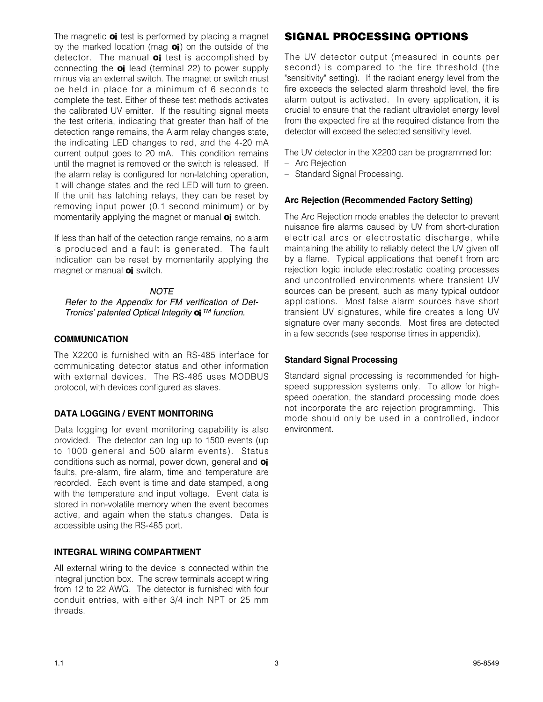The magnetic **oi** test is performed by placing a magnet by the marked location (mag **oi**) on the outside of the detector. The manual **oi** test is accomplished by connecting the **oi** lead (terminal 22) to power supply minus via an external switch. The magnet or switch must be held in place for a minimum of 6 seconds to complete the test. Either of these test methods activates the calibrated UV emitter. If the resulting signal meets the test criteria, indicating that greater than half of the detection range remains, the Alarm relay changes state, the indicating LED changes to red, and the 4-20 mA current output goes to 20 mA. This condition remains until the magnet is removed or the switch is released. If the alarm relay is configured for non-latching operation, it will change states and the red LED will turn to green. If the unit has latching relays, they can be reset by removing input power (0.1 second minimum) or by momentarily applying the magnet or manual **oi** switch.

If less than half of the detection range remains, no alarm is produced and a fault is generated. The fault indication can be reset by momentarily applying the magnet or manual **oi** switch.

#### *NOTE*

*Refer to the Appendix for FM verification of Det-Tronics' patented Optical Integrity oi™ function.*

#### **COMMUNICATION**

The X2200 is furnished with an RS-485 interface for communicating detector status and other information with external devices. The RS-485 uses MODBUS protocol, with devices configured as slaves.

#### **DATA LOGGING / EVENT MONITORING**

Data logging for event monitoring capability is also provided. The detector can log up to 1500 events (up to 1000 general and 500 alarm events). Status conditions such as normal, power down, general and **oi** faults, pre-alarm, fire alarm, time and temperature are recorded. Each event is time and date stamped, along with the temperature and input voltage. Event data is stored in non-volatile memory when the event becomes active, and again when the status changes. Data is accessible using the RS-485 port.

#### **INTEGRAL WIRING COMPARTMENT**

All external wiring to the device is connected within the integral junction box. The screw terminals accept wiring from 12 to 22 AWG. The detector is furnished with four conduit entries, with either 3/4 inch NPT or 25 mm threads.

# **SIGNAL PROCESSING OPTIONS**

The UV detector output (measured in counts per second) is compared to the fire threshold (the "sensitivity" setting). If the radiant energy level from the fire exceeds the selected alarm threshold level, the fire alarm output is activated. In every application, it is crucial to ensure that the radiant ultraviolet energy level from the expected fire at the required distance from the detector will exceed the selected sensitivity level.

The UV detector in the X2200 can be programmed for:

- Arc Rejection
- Standard Signal Processing.

#### **Arc Rejection (Recommended Factory Setting)**

The Arc Rejection mode enables the detector to prevent nuisance fire alarms caused by UV from short-duration electrical arcs or electrostatic discharge, while maintaining the ability to reliably detect the UV given off by a flame. Typical applications that benefit from arc rejection logic include electrostatic coating processes and uncontrolled environments where transient UV sources can be present, such as many typical outdoor applications. Most false alarm sources have short transient UV signatures, while fire creates a long UV signature over many seconds. Most fires are detected in a few seconds (see response times in appendix).

#### **Standard Signal Processing**

Standard signal processing is recommended for highspeed suppression systems only. To allow for highspeed operation, the standard processing mode does not incorporate the arc rejection programming. This mode should only be used in a controlled, indoor environment.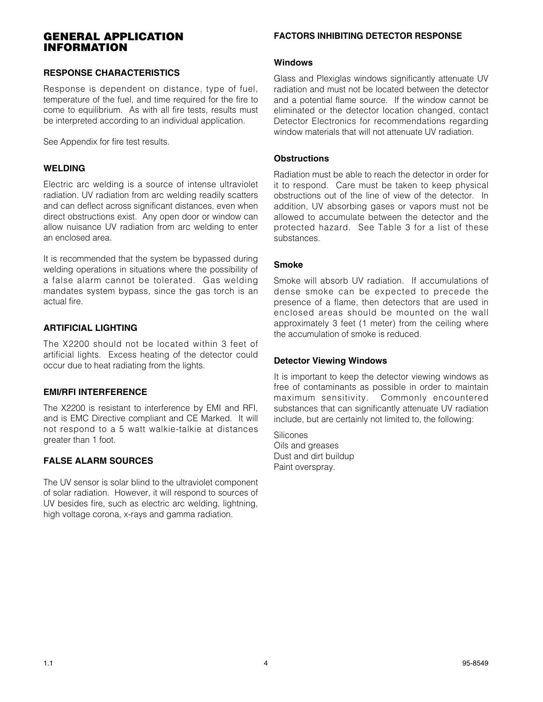### **GENERAL APPLICATION INFORMATION**

#### **RESPONSE CHARACTERISTICS**

Response is dependent on distance, type of fuel, temperature of the fuel, and time required for the fire to come to equilibrium. As with all fire tests, results must be interpreted according to an individual application.

See Appendix for fire test results.

#### **WELDING**

Electric arc welding is a source of intense ultraviolet radiation. UV radiation from arc welding readily scatters and can deflect across significant distances, even when direct obstructions exist. Any open door or window can allow nuisance UV radiation from arc welding to enter an enclosed area.

It is recommended that the system be bypassed during welding operations in situations where the possibility of a false alarm cannot be tolerated. Gas welding mandates system bypass, since the gas torch is an actual fire.

#### **ARTIFICIAL LIGHTING**

The X2200 should not be located within 3 feet of artificial lights. Excess heating of the detector could occur due to heat radiating from the lights.

#### **EMI/RFI INTERFERENCE**

The X2200 is resistant to interference by EMI and RFI, and is EMC Directive compliant and CE Marked. It will not respond to a 5 watt walkie-talkie at distances greater than 1 foot.

### **FALSE ALARM SOURCES**

The UV sensor is solar blind to the ultraviolet component of solar radiation. However, it will respond to sources of UV besides fire, such as electric arc welding, lightning, high voltage corona, x-rays and gamma radiation.

#### **FACTORS INHIBITING DETECTOR RESPONSE**

#### **Windows**

Glass and Plexiglas windows significantly attenuate UV radiation and must not be located between the detector and a potential flame source. If the window cannot be eliminated or the detector location changed, contact Detector Electronics for recommendations regarding window materials that will not attenuate UV radiation.

#### **Obstructions**

Radiation must be able to reach the detector in order for it to respond. Care must be taken to keep physical obstructions out of the line of view of the detector. In addition, UV absorbing gases or vapors must not be allowed to accumulate between the detector and the protected hazard. See Table 3 for a list of these substances.

#### **Smoke**

Smoke will absorb UV radiation. If accumulations of dense smoke can be expected to precede the presence of a flame, then detectors that are used in enclosed areas should be mounted on the wall approximately 3 feet (1 meter) from the ceiling where the accumulation of smoke is reduced.

#### **Detector Viewing Windows**

It is important to keep the detector viewing windows as free of contaminants as possible in order to maintain maximum sensitivity. Commonly encountered substances that can significantly attenuate UV radiation include, but are certainly not limited to, the following:

**Silicones** Oils and greases Dust and dirt buildup Paint overspray.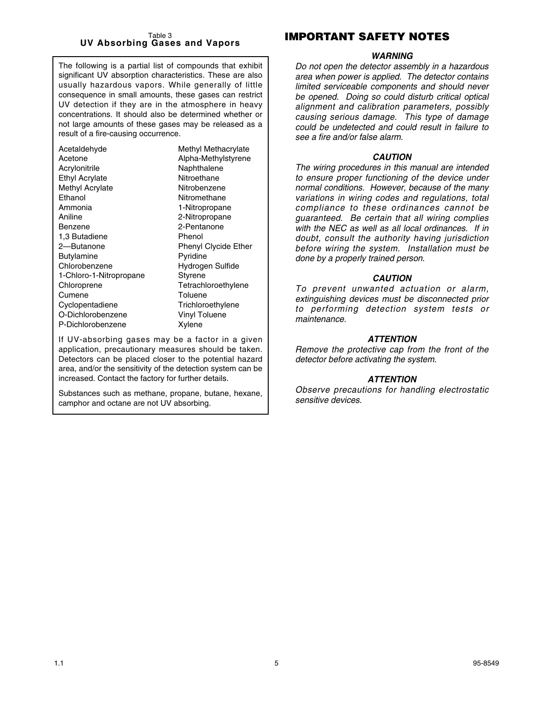#### Table 3 **UV Absorbing Gases and Vapors**

The following is a partial list of compounds that exhibit significant UV absorption characteristics. These are also usually hazardous vapors. While generally of little consequence in small amounts, these gases can restrict UV detection if they are in the atmosphere in heavy concentrations. It should also be determined whether or not large amounts of these gases may be released as a result of a fire-causing occurrence.

If UV-absorbing gases may be a factor in a given application, precautionary measures should be taken. Detectors can be placed closer to the potential hazard area, and/or the sensitivity of the detection system can be increased. Contact the factory for further details.

Substances such as methane, propane, butane, hexane, camphor and octane are not UV absorbing.

# **IMPORTANT SAFETY NOTES**

#### *WARNING*

*Do not open the detector assembly in a hazardous area when power is applied. The detector contains limited serviceable components and should never be opened. Doing so could disturb critical optical alignment and calibration parameters, possibly causing serious damage. This type of damage could be undetected and could result in failure to see a fire and/or false alarm.*

#### *CAUTION*

*The wiring procedures in this manual are intended to ensure proper functioning of the device under normal conditions. However, because of the many variations in wiring codes and regulations, total compliance to these ordinances cannot be guaranteed. Be certain that all wiring complies with the NEC as well as all local ordinances. If in doubt, consult the authority having jurisdiction before wiring the system. Installation must be done by a properly trained person.*

#### *CAUTION*

*To prevent unwanted actuation or alarm, extinguishing devices must be disconnected prior to performing detection system tests or maintenance.*

#### *ATTENTION*

*Remove the protective cap from the front of the detector before activating the system.*

#### *ATTENTION*

*Observe precautions for handling electrostatic sensitive devices.*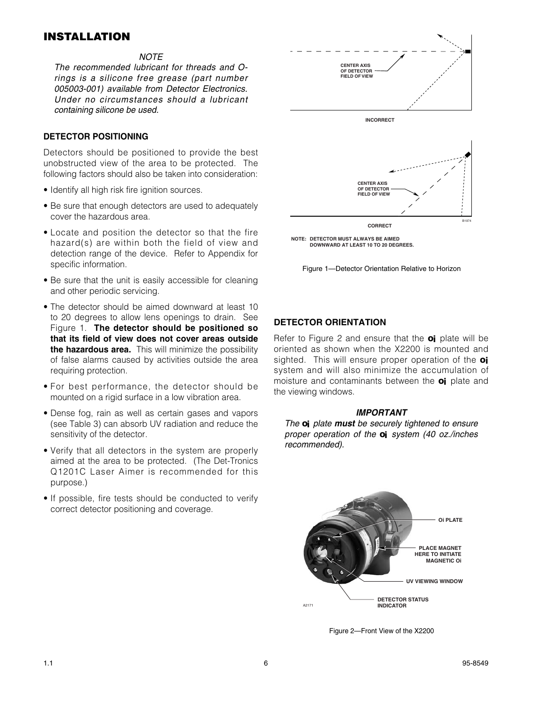# **INSTALLATION**

#### *NOTE*

*The recommended lubricant for threads and Orings is a silicone free grease (part number 005003-001) available from Detector Electronics. Under no circumstances should a lubricant containing silicone be used.*

#### **DETECTOR POSITIONING**

Detectors should be positioned to provide the best unobstructed view of the area to be protected. The following factors should also be taken into consideration:

- Identify all high risk fire ignition sources.
- Be sure that enough detectors are used to adequately cover the hazardous area.
- Locate and position the detector so that the fire hazard(s) are within both the field of view and detection range of the device. Refer to Appendix for specific information.
- Be sure that the unit is easily accessible for cleaning and other periodic servicing.
- The detector should be aimed downward at least 10 to 20 degrees to allow lens openings to drain. See Figure 1. **The detector should be positioned so that its field of view does not cover areas outside the hazardous area.** This will minimize the possibility of false alarms caused by activities outside the area requiring protection.
- For best performance, the detector should be mounted on a rigid surface in a low vibration area.
- Dense fog, rain as well as certain gases and vapors (see Table 3) can absorb UV radiation and reduce the sensitivity of the detector.
- Verify that all detectors in the system are properly aimed at the area to be protected. (The Det-Tronics Q1201C Laser Aimer is recommended for this purpose.)
- If possible, fire tests should be conducted to verify correct detector positioning and coverage.



**NOTE: DETECTOR MUST ALWAYS BE AIMED DOWNWARD AT LEAST 10 TO 20 DEGREES.**



#### **DETECTOR ORIENTATION**

Refer to Figure 2 and ensure that the **oi** plate will be oriented as shown when the X2200 is mounted and sighted. This will ensure proper operation of the **oi** system and will also minimize the accumulation of moisture and contaminants between the **oi** plate and the viewing windows.

#### *IMPORTANT*

*The oi plate must be securely tightened to ensure proper operation of the oi system (40 oz./inches recommended).*



Figure 2—Front View of the X2200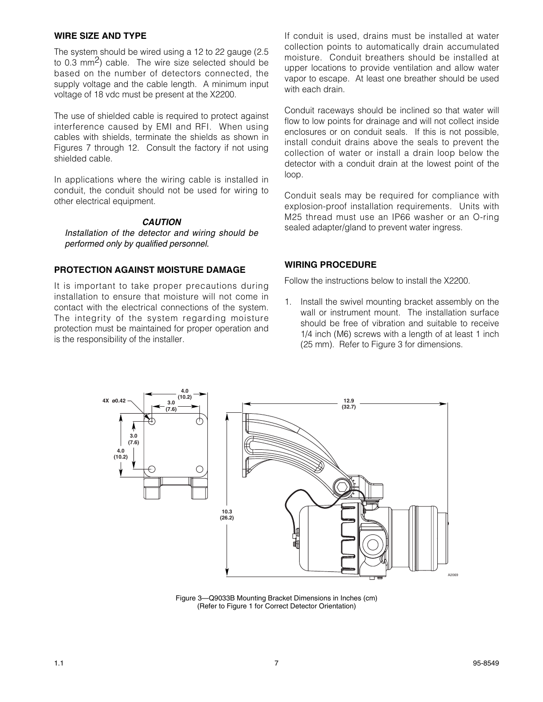#### **WIRE SIZE AND TYPE**

The system should be wired using a 12 to 22 gauge (2.5 to 0.3 mm<sup>2</sup>) cable. The wire size selected should be based on the number of detectors connected, the supply voltage and the cable length. A minimum input voltage of 18 vdc must be present at the X2200.

The use of shielded cable is required to protect against interference caused by EMI and RFI. When using cables with shields, terminate the shields as shown in Figures 7 through 12. Consult the factory if not using shielded cable.

In applications where the wiring cable is installed in conduit, the conduit should not be used for wiring to other electrical equipment.

#### *CAUTION*

*Installation of the detector and wiring should be performed only by qualified personnel.*

#### **PROTECTION AGAINST MOISTURE DAMAGE**

It is important to take proper precautions during installation to ensure that moisture will not come in contact with the electrical connections of the system. The integrity of the system regarding moisture protection must be maintained for proper operation and is the responsibility of the installer.

If conduit is used, drains must be installed at water collection points to automatically drain accumulated moisture. Conduit breathers should be installed at upper locations to provide ventilation and allow water vapor to escape. At least one breather should be used with each drain.

Conduit raceways should be inclined so that water will flow to low points for drainage and will not collect inside enclosures or on conduit seals. If this is not possible, install conduit drains above the seals to prevent the collection of water or install a drain loop below the detector with a conduit drain at the lowest point of the loop.

Conduit seals may be required for compliance with explosion-proof installation requirements. Units with M25 thread must use an IP66 washer or an O-ring sealed adapter/gland to prevent water ingress.

#### **WIRING PROCEDURE**

Follow the instructions below to install the X2200.

1. Install the swivel mounting bracket assembly on the wall or instrument mount. The installation surface should be free of vibration and suitable to receive 1/4 inch (M6) screws with a length of at least 1 inch (25 mm). Refer to Figure 3 for dimensions.



Figure 3—Q9033B Mounting Bracket Dimensions in Inches (cm) (Refer to Figure 1 for Correct Detector Orientation)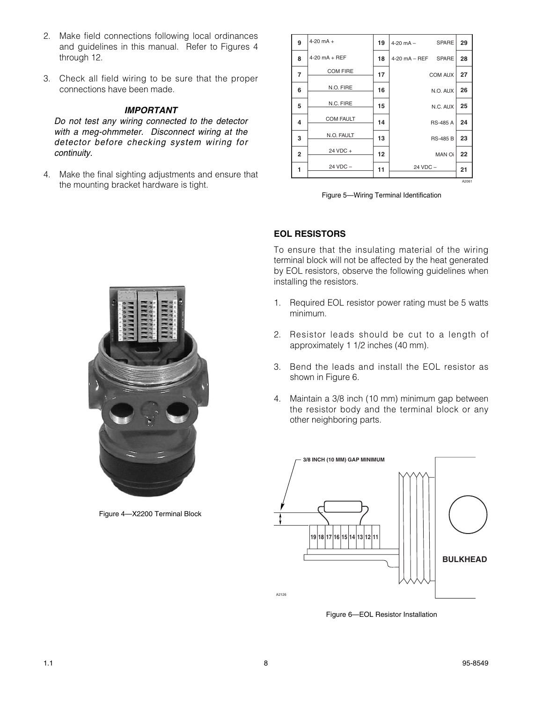- 2. Make field connections following local ordinances and guidelines in this manual. Refer to Figures 4 through 12.
- 3. Check all field wiring to be sure that the proper connections have been made.

#### *IMPORTANT*

*Do not test any wiring connected to the detector with a meg-ohmmeter. Disconnect wiring at the detector before checking system wiring for continuity.*

4. Make the final sighting adjustments and ensure that the mounting bracket hardware is tight.

| 9              | $4-20$ mA $+$    | 19 | <b>SPARE</b><br>$4-20$ mA $-$ | 29    |
|----------------|------------------|----|-------------------------------|-------|
| 8              | $4-20$ mA + REF  | 18 | 4-20 mA - REF SPARE           | 28    |
| $\overline{7}$ | <b>COM FIRE</b>  | 17 | COM AUX                       | 27    |
| 6              | N.O. FIRE        | 16 | N.O. AUX                      | 26    |
| 5              | N.C. FIRE        | 15 | N.C. AUX                      | 25    |
| 4              | <b>COM FAULT</b> | 14 | <b>RS-485 A</b>               | 24    |
| 3              | N.O. FAULT       | 13 | <b>RS-485 B</b>               | 23    |
| $\overline{2}$ | 24 VDC +         | 12 | <b>MAN Oi</b>                 | 22    |
| 1              | 24 VDC -         | 11 | 24 VDC -                      | 21    |
|                |                  |    |                               | A2061 |

Figure 5—Wiring Terminal Identification

### **EOL RESISTORS**

To ensure that the insulating material of the wiring terminal block will not be affected by the heat generated by EOL resistors, observe the following guidelines when installing the resistors.

- 1. Required EOL resistor power rating must be 5 watts minimum.
- 2. Resistor leads should be cut to a length of approximately 1 1/2 inches (40 mm).
- 3. Bend the leads and install the EOL resistor as shown in Figure 6.
- 4. Maintain a 3/8 inch (10 mm) minimum gap between the resistor body and the terminal block or any other neighboring parts.



Figure 6—EOL Resistor Installation



Figure 4—X2200 Terminal Block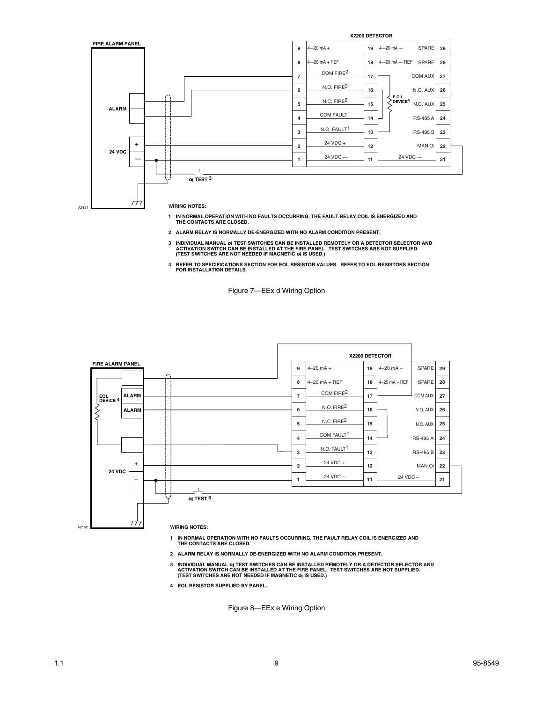

- **1 IN NORMAL OPERATION WITH NO FAULTS OCCURRING, THE FAULT RELAY COIL IS ENERGIZED AND THE CONTACTS ARE CLOSED.**
- **2 ALARM RELAY IS NORMALLY DE-ENERGIZED WITH NO ALARM CONDITION PRESENT.**
- 3 INDIVIDUAL MANUAL 0; TEST SWITCHES CAN BE INSTALLED REMOTELY OR A DETECTOR SELECTOR AND<br>ACTIVATION SWITCH CAN BE INSTALLED AT THE FIRE PANEL. TEST SWITCHES ARE NOT SUPPLIED.<br>(TEST SWITCHES ARE NOT NEEDED IF MAGNETIC 0;
- **4 REFER TO SPECIFICATIONS SECTION FOR EOL RESISTOR VALUES. REFER TO EOL RESISTORS SECTION FOR INSTALLATION DETAILS.**

Figure 7—EEx d Wiring Option



- **1 IN NORMAL OPERATION WITH NO FAULTS OCCURRING, THE FAULT RELAY COIL IS ENERGIZED AND THE CONTACTS ARE CLOSED.**
- **2 ALARM RELAY IS NORMALLY DE-ENERGIZED WITH NO ALARM CONDITION PRESENT.**
- 3 INDIVIDUAL MANUAL 0; TEST SWITCHES CAN BE INSTALLED REMOTELY OR A DETECTOR SELECTOR AND<br>ACTIVATION SWITCH CAN BE INSTALLED AT THE FIRE PANEL. TEST SWITCHES ARE NOT SUPPLIED.<br>TEST SWITCHES ARE NOT NEEDED IF MAGNETIC 0;
- **4 EOL RESISTOR SUPPLIED BY PANEL.**

Figure 8—EEx e Wiring Option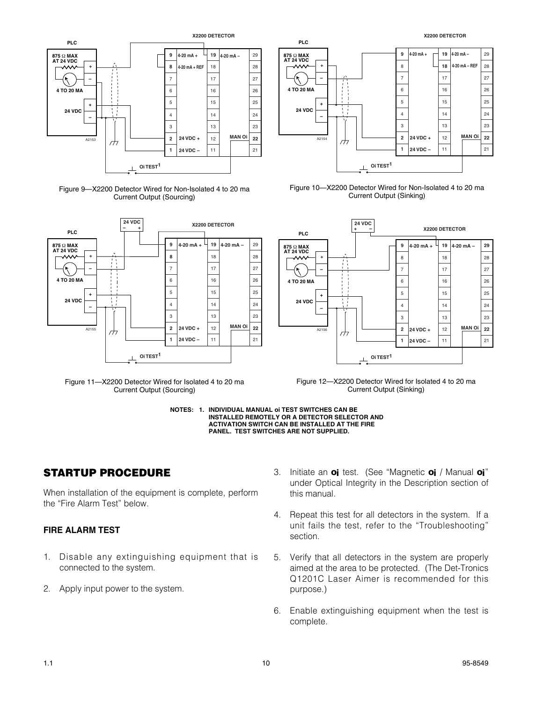

Figure 9—X2200 Detector Wired for Non-Isolated 4 to 20 ma Current Output (Sourcing)



Figure 11—X2200 Detector Wired for Isolated 4 to 20 ma Current Output (Sourcing)



Figure 10—X2200 Detector Wired for Non-Isolated 4 to 20 ma Current Output (Sinking)



Figure 12—X2200 Detector Wired for Isolated 4 to 20 ma Current Output (Sinking)



# **STARTUP PROCEDURE**

When installation of the equipment is complete, perform the "Fire Alarm Test" below.

#### **FIRE ALARM TEST**

- 1. Disable any extinguishing equipment that is connected to the system.
- 2. Apply input power to the system.
- 3. Initiate an **oi** test. (See "Magnetic **oi** / Manual **oi**" under Optical Integrity in the Description section of this manual.
- 4. Repeat this test for all detectors in the system. If a unit fails the test, refer to the "Troubleshooting" section.
- 5. Verify that all detectors in the system are properly aimed at the area to be protected. (The Det-Tronics Q1201C Laser Aimer is recommended for this purpose.)
- 6. Enable extinguishing equipment when the test is complete.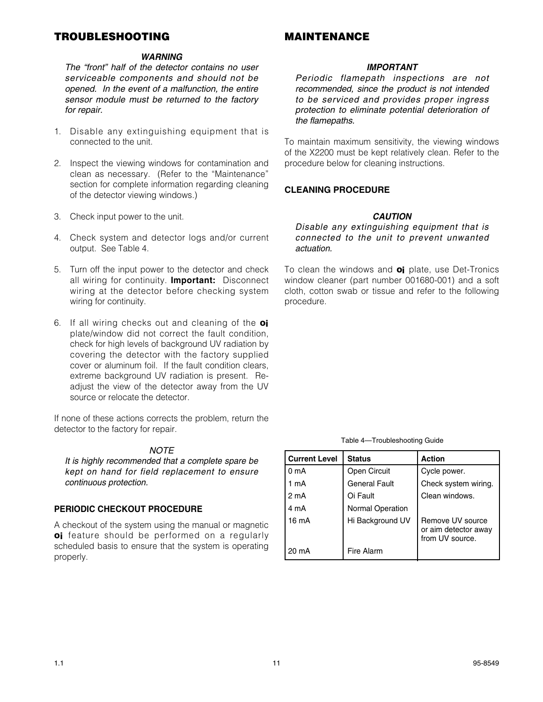# **TROUBLESHOOTING**

# **MAINTENANCE**

#### *WARNING*

*The "front" half of the detector contains no user serviceable components and should not be opened. In the event of a malfunction, the entire sensor module must be returned to the factory for repair.*

- 1. Disable any extinguishing equipment that is connected to the unit.
- 2. Inspect the viewing windows for contamination and clean as necessary. (Refer to the "Maintenance" section for complete information regarding cleaning of the detector viewing windows.)
- 3. Check input power to the unit.
- 4. Check system and detector logs and/or current output. See Table 4.
- 5. Turn off the input power to the detector and check all wiring for continuity. **Important:** Disconnect wiring at the detector before checking system wiring for continuity.
- 6. If all wiring checks out and cleaning of the **oi** plate/window did not correct the fault condition, check for high levels of background UV radiation by covering the detector with the factory supplied cover or aluminum foil. If the fault condition clears, extreme background UV radiation is present. Readjust the view of the detector away from the UV source or relocate the detector.

If none of these actions corrects the problem, return the detector to the factory for repair.

#### *NOTE*

*It is highly recommended that a complete spare be kept on hand for field replacement to ensure continuous protection.*

#### **PERIODIC CHECKOUT PROCEDURE**

A checkout of the system using the manual or magnetic **oi** feature should be performed on a regularly scheduled basis to ensure that the system is operating properly.

#### *IMPORTANT*

*Periodic flamepath inspections are not recommended, since the product is not intended to be serviced and provides proper ingress protection to eliminate potential deterioration of the flamepaths.*

To maintain maximum sensitivity, the viewing windows of the X2200 must be kept relatively clean. Refer to the procedure below for cleaning instructions.

#### **CLEANING PROCEDURE**

#### *CAUTION*

*Disable any extinguishing equipment that is connected to the unit to prevent unwanted actuation.*

To clean the windows and **oi** plate, use Det-Tronics window cleaner (part number 001680-001) and a soft cloth, cotton swab or tissue and refer to the following procedure.

Table 4—Troubleshooting Guide

| <b>Current Level</b> | <b>Status</b>           | <b>Action</b>                                               |
|----------------------|-------------------------|-------------------------------------------------------------|
| 0 <sub>m</sub> A     | <b>Open Circuit</b>     | Cycle power.                                                |
| 1 mA                 | <b>General Fault</b>    | Check system wiring.                                        |
| 2 mA                 | Oi Fault                | Clean windows.                                              |
| 4 mA                 | <b>Normal Operation</b> |                                                             |
| 16 mA                | Hi Background UV        | Remove UV source<br>or aim detector away<br>from UV source. |
| 20 mA                | Fire Alarm              |                                                             |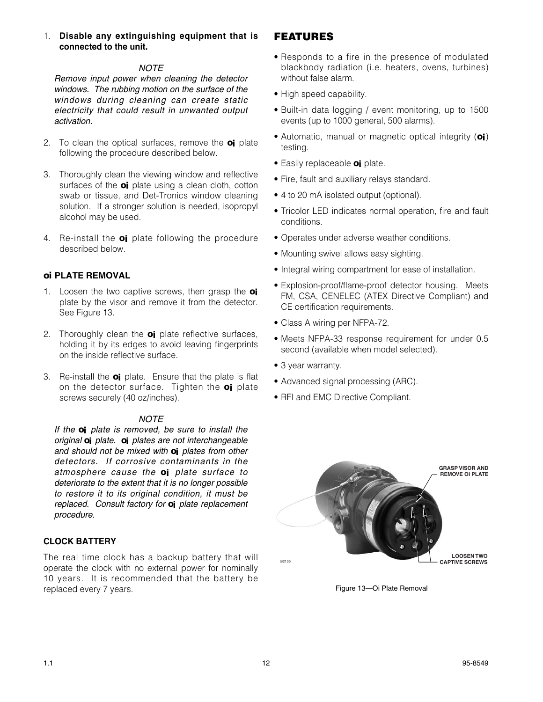#### *NOTE*

*Remove input power when cleaning the detector windows. The rubbing motion on the surface of the windows during cleaning can create static electricity that could result in unwanted output activation.* 

- 2. To clean the optical surfaces, remove the **oi** plate following the procedure described below.
- 3. Thoroughly clean the viewing window and reflective surfaces of the **oi** plate using a clean cloth, cotton swab or tissue, and Det-Tronics window cleaning solution. If a stronger solution is needed, isopropyl alcohol may be used.
- 4. Re-install the **oi** plate following the procedure described below.

#### **oi PLATE REMOVAL**

- 1. Loosen the two captive screws, then grasp the **oi** plate by the visor and remove it from the detector. See Figure 13.
- 2. Thoroughly clean the **oi** plate reflective surfaces, holding it by its edges to avoid leaving fingerprints on the inside reflective surface.
- 3. Re-install the **oi** plate. Ensure that the plate is flat on the detector surface. Tighten the **oi** plate screws securely (40 oz/inches).

#### *NOTE*

*If the oi plate is removed, be sure to install the original oi plate. oi plates are not interchangeable and should not be mixed with oi plates from other detectors. If corrosive contaminants in the atmosphere cause the oi plate surface to deteriorate to the extent that it is no longer possible to restore it to its original condition, it must be replaced. Consult factory for oi plate replacement procedure.*

#### **CLOCK BATTERY**

The real time clock has a backup battery that will operate the clock with no external power for nominally 10 years. It is recommended that the battery be replaced every 7 years.

# **FEATURES**

- Responds to a fire in the presence of modulated blackbody radiation (i.e. heaters, ovens, turbines) without false alarm.
- High speed capability.
- Built-in data logging / event monitoring, up to 1500 events (up to 1000 general, 500 alarms).
- Automatic, manual or magnetic optical integrity (**oi**) testing.
- Easily replaceable **oi** plate.
- Fire, fault and auxiliary relays standard.
- 4 to 20 mA isolated output (optional).
- Tricolor LED indicates normal operation, fire and fault conditions.
- Operates under adverse weather conditions.
- Mounting swivel allows easy sighting.
- Integral wiring compartment for ease of installation.
- Explosion-proof/flame-proof detector housing. Meets FM, CSA, CENELEC (ATEX Directive Compliant) and CE certification requirements.
- Class A wiring per NFPA-72.
- Meets NFPA-33 response requirement for under 0.5 second (available when model selected).
- 3 year warranty.
- Advanced signal processing (ARC).
- RFI and EMC Directive Compliant.



B2135

Figure 13—Oi Plate Removal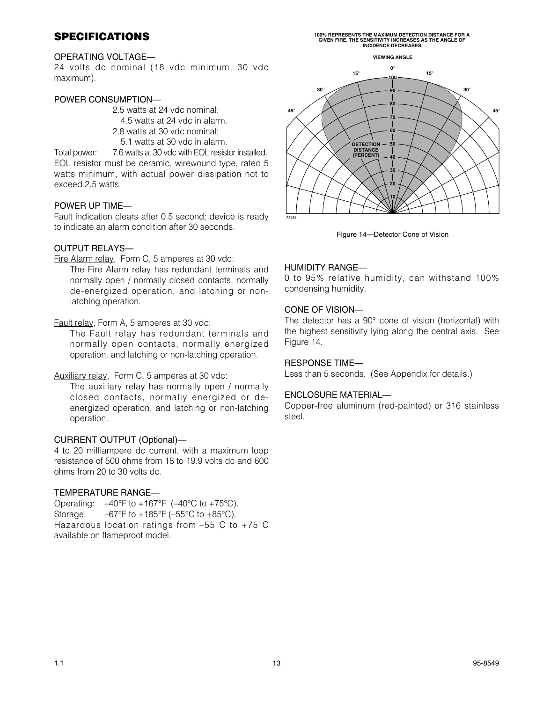# **SPECIFICATIONS**

# **100% REPRESENTS THE MAXIMUM DETECTION DISTANCE FOR A GIVEN FIRE. THE SENSITIVITY INCREASES AS THE ANGLE OF INCIDENCE DECREASES.**

#### OPERATING VOLTAGE—

24 volts dc nominal (18 vdc minimum, 30 vdc maximum).

#### POWER CONSUMPTION—

2.5 watts at 24 vdc nominal;

4.5 watts at 24 vdc in alarm.

- 2.8 watts at 30 vdc nominal;
- 5.1 watts at 30 vdc in alarm.

Total power: 7.6 watts at 30 vdc with EOL resistor installed. EOL resistor must be ceramic, wirewound type, rated 5 watts minimum, with actual power dissipation not to exceed 2.5 watts.

#### POWER UP TIME—

Fault indication clears after 0.5 second; device is ready to indicate an alarm condition after 30 seconds.

#### OUTPUT RELAYS—

Fire Alarm relay, Form C, 5 amperes at 30 vdc:

The Fire Alarm relay has redundant terminals and normally open / normally closed contacts, normally de-energized operation, and latching or nonlatching operation.

#### Fault relay, Form A, 5 amperes at 30 vdc:

The Fault relay has redundant terminals and normally open contacts, normally energized operation, and latching or non-latching operation.

#### Auxiliary relay, Form C, 5 amperes at 30 vdc:

The auxiliary relay has normally open / normally closed contacts, normally energized or deenergized operation, and latching or non-latching operation.

#### CURRENT OUTPUT (Optional)—

4 to 20 milliampere dc current, with a maximum loop resistance of 500 ohms from 18 to 19.9 volts dc and 600 ohms from 20 to 30 volts dc.

#### TEMPERATURE RANGE—

Operating:  $-40^{\circ}$ F to  $+167^{\circ}$ F ( $-40^{\circ}$ C to  $+75^{\circ}$ C). Storage:  $-67^{\circ}F$  to  $+185^{\circ}F$  (-55°C to  $+85^{\circ}C$ ). Hazardous location ratings from –55°C to +75°C available on flameproof model.



Figure 14—Detector Cone of Vision

#### HUMIDITY RANGE—

0 to 95% relative humidity, can withstand 100% condensing humidity.

#### CONE OF VISION—

The detector has a 90° cone of vision (horizontal) with the highest sensitivity lying along the central axis. See Figure 14.

#### RESPONSE TIME—

Less than 5 seconds. (See Appendix for details.)

#### ENCLOSURE MATERIAL—

Copper-free aluminum (red-painted) or 316 stainless steel.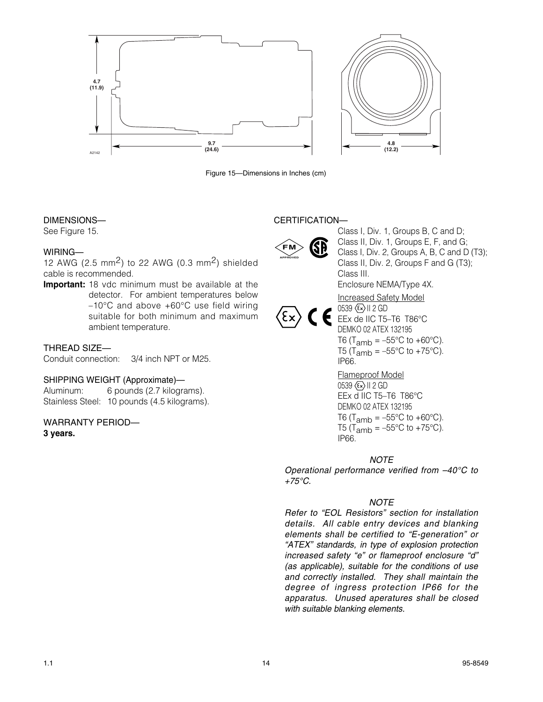

Figure 15—Dimensions in Inches (cm)

#### DIMENSIONS—

See Figure 15.

#### WIRING—

12 AWG (2.5 mm<sup>2</sup>) to 22 AWG (0.3 mm<sup>2</sup>) shielded cable is recommended.

**Important:** 18 vdc minimum must be available at the detector. For ambient temperatures below –10°C and above +60°C use field wiring suitable for both minimum and maximum ambient temperature.

#### THREAD SIZE—

Conduit connection: 3/4 inch NPT or M25.

#### SHIPPING WEIGHT (Approximate)—

Aluminum: 6 pounds (2.7 kilograms). Stainless Steel: 10 pounds (4.5 kilograms).

# WARRANTY PERIOD—

**3 years.**

### CERTIFICATION—



Class I, Div. 1, Groups B, C and D; Class II, Div. 1, Groups E, F, and G; Class I, Div. 2, Groups A, B, C and D (T3); Class II, Div. 2, Groups F and G (T3); Class III. Enclosure NEMA/Type 4X.

Increased Safety Model  $0539 \langle \overline{\epsilon_x} \rangle$  || 2 GD

EEx de IIC T5-T6 T86°C DEMKO 02 ATEX 132195 T6 (T<sub>amb</sub> =  $-55^{\circ}$ C to +60 $^{\circ}$ C). T5 (T<sub>amb</sub> =  $-55^{\circ}$ C to +75°C). IP66. Flameproof Model

 $0539 \langle \overline{\epsilon_x} \rangle$  || 2 GD EEx d IIC T5–T6 T86°C DEMKO 02 ATEX 132195 T6 (T<sub>amb</sub> =  $-55^{\circ}$ C to +60 $^{\circ}$ C). T5 (T<sub>amb</sub> =  $-55^{\circ}$ C to +75 $^{\circ}$ C). IP66.

#### *NOTE*

*Operational performance verified from –40°C to +75°C.*

#### *NOTE*

*Refer to "EOL Resistors" section for installation details. All cable entry devices and blanking elements shall be certified to "E-generation" or "ATEX" standards, in type of explosion protection increased safety "e" or flameproof enclosure "d" (as applicable), suitable for the conditions of use and correctly installed. They shall maintain the degree of ingress protection IP66 for the apparatus. Unused aperatures shall be closed with suitable blanking elements.*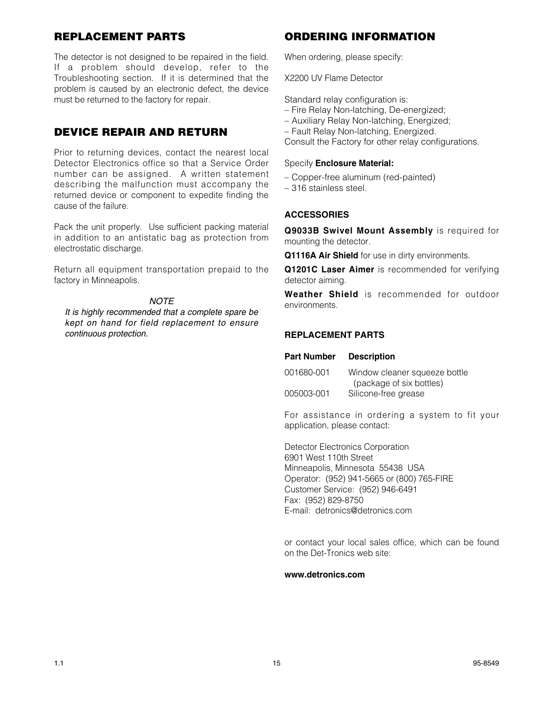# **REPLACEMENT PARTS**

The detector is not designed to be repaired in the field. If a problem should develop, refer to the Troubleshooting section. If it is determined that the problem is caused by an electronic defect, the device must be returned to the factory for repair.

# **DEVICE REPAIR AND RETURN**

Prior to returning devices, contact the nearest local Detector Electronics office so that a Service Order number can be assigned. A written statement describing the malfunction must accompany the returned device or component to expedite finding the cause of the failure.

Pack the unit properly. Use sufficient packing material in addition to an antistatic bag as protection from electrostatic discharge.

Return all equipment transportation prepaid to the factory in Minneapolis.

#### *NOTE*

*It is highly recommended that a complete spare be kept on hand for field replacement to ensure continuous protection.*

# **ORDERING INFORMATION**

When ordering, please specify:

X2200 UV Flame Detector

Standard relay configuration is:

- Fire Relay Non-latching, De-energized;
- Auxiliary Relay Non-latching, Energized;
- Fault Relay Non-latching, Energized.

Consult the Factory for other relay configurations.

#### Specify **Enclosure Material:**

- Copper-free aluminum (red-painted)
- 316 stainless steel.

#### **ACCESSORIES**

**Q9033B Swivel Mount Assembly** is required for mounting the detector.

**Q1116A Air Shield** for use in dirty environments.

**Q1201C Laser Aimer** is recommended for verifying detector aiming.

**Weather Shield** is recommended for outdoor environments.

#### **REPLACEMENT PARTS**

| 001680-001 | Window cleaner squeeze bottle |
|------------|-------------------------------|
|            | (package of six bottles)      |
| 005003-001 | Silicone-free grease          |

For assistance in ordering a system to fit your application, please contact:

Detector Electronics Corporation 6901 West 110th Street Minneapolis, Minnesota 55438 USA Operator: (952) 941-5665 or (800) 765-FIRE Customer Service: (952) 946-6491 Fax: (952) 829-8750 E-mail: detronics@detronics.com

or contact your local sales office, which can be found on the Det-Tronics web site:

#### **www.detronics.com**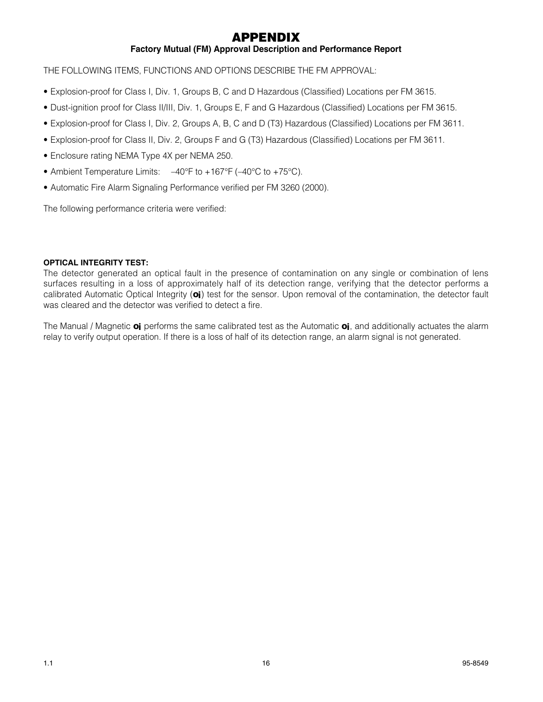# **APPENDIX**

### **Factory Mutual (FM) Approval Description and Performance Report**

THE FOLLOWING ITEMS, FUNCTIONS AND OPTIONS DESCRIBE THE FM APPROVAL:

- Explosion-proof for Class I, Div. 1, Groups B, C and D Hazardous (Classified) Locations per FM 3615.
- Dust-ignition proof for Class II/III, Div. 1, Groups E, F and G Hazardous (Classified) Locations per FM 3615.
- Explosion-proof for Class I, Div. 2, Groups A, B, C and D (T3) Hazardous (Classified) Locations per FM 3611.
- Explosion-proof for Class II, Div. 2, Groups F and G (T3) Hazardous (Classified) Locations per FM 3611.
- Enclosure rating NEMA Type 4X per NEMA 250.
- Ambient Temperature Limits:  $-40^{\circ}$ F to +167°F (-40°C to +75°C).
- Automatic Fire Alarm Signaling Performance verified per FM 3260 (2000).

The following performance criteria were verified:

#### **OPTICAL INTEGRITY TEST:**

The detector generated an optical fault in the presence of contamination on any single or combination of lens surfaces resulting in a loss of approximately half of its detection range, verifying that the detector performs a calibrated Automatic Optical Integrity (**oi**) test for the sensor. Upon removal of the contamination, the detector fault was cleared and the detector was verified to detect a fire.

The Manual / Magnetic **oi** performs the same calibrated test as the Automatic **oi**, and additionally actuates the alarm relay to verify output operation. If there is a loss of half of its detection range, an alarm signal is not generated.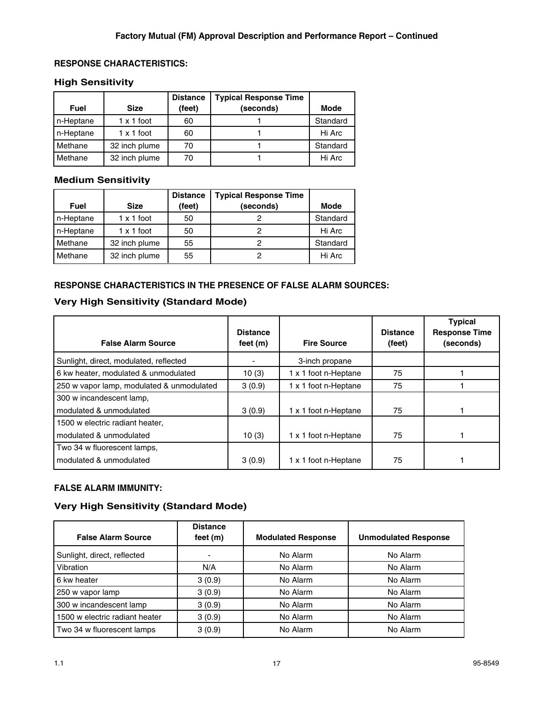#### **RESPONSE CHARACTERISTICS:**

#### **High Sensitivity**

| <b>Fuel</b> | <b>Size</b>       | <b>Distance</b><br>(feet) | <b>Typical Response Time</b><br>(seconds) | Mode     |
|-------------|-------------------|---------------------------|-------------------------------------------|----------|
| n-Heptane   | $1 \times 1$ foot | 60                        |                                           | Standard |
| n-Heptane   | $1 \times 1$ foot | 60                        |                                           | Hi Arc   |
| Methane     | 32 inch plume     | 70                        |                                           | Standard |
| Methane     | 32 inch plume     | 70                        |                                           | Hi Arc   |

## **Medium Sensitivity**

| <b>Fuel</b> | <b>Size</b>       | <b>Distance</b><br>(feet) | <b>Typical Response Time</b><br>(seconds) | Mode     |
|-------------|-------------------|---------------------------|-------------------------------------------|----------|
|             |                   |                           |                                           |          |
| n-Heptane   | $1 \times 1$ foot | 50                        |                                           | Standard |
| n-Heptane   | $1 \times 1$ foot | 50                        |                                           | Hi Arc   |
| Methane     | 32 inch plume     | 55                        |                                           | Standard |
| Methane     | 32 inch plume     | 55                        |                                           | Hi Arc   |

### **RESPONSE CHARACTERISTICS IN THE PRESENCE OF FALSE ALARM SOURCES:**

#### **Very High Sensitivity (Standard Mode)**

| <b>False Alarm Source</b>                 | <b>Distance</b><br>feet $(m)$ | <b>Fire Source</b>   | <b>Distance</b><br>(feet) | <b>Typical</b><br><b>Response Time</b><br>(seconds) |
|-------------------------------------------|-------------------------------|----------------------|---------------------------|-----------------------------------------------------|
| Sunlight, direct, modulated, reflected    |                               | 3-inch propane       |                           |                                                     |
| 6 kw heater, modulated & unmodulated      | 10(3)                         | 1 x 1 foot n-Heptane | 75                        |                                                     |
| 250 w vapor lamp, modulated & unmodulated | 3(0.9)                        | 1 x 1 foot n-Heptane | 75                        |                                                     |
| 300 w incandescent lamp,                  |                               |                      |                           |                                                     |
| modulated & unmodulated                   | 3(0.9)                        | 1 x 1 foot n-Heptane | 75                        |                                                     |
| 1500 w electric radiant heater,           |                               |                      |                           |                                                     |
| modulated & unmodulated                   | 10(3)                         | 1 x 1 foot n-Heptane | 75                        |                                                     |
| Two 34 w fluorescent lamps,               |                               |                      |                           |                                                     |
| modulated & unmodulated                   | 3(0.9)                        | 1 x 1 foot n-Heptane | 75                        |                                                     |

#### **FALSE ALARM IMMUNITY:**

### **Very High Sensitivity (Standard Mode)**

| <b>False Alarm Source</b>      | <b>Distance</b><br>feet $(m)$ | <b>Modulated Response</b> | <b>Unmodulated Response</b> |
|--------------------------------|-------------------------------|---------------------------|-----------------------------|
| Sunlight, direct, reflected    | ٠                             | No Alarm                  | No Alarm                    |
| Vibration                      | N/A                           | No Alarm                  | No Alarm                    |
| 6 kw heater                    | 3(0.9)                        | No Alarm                  | No Alarm                    |
| 250 w vapor lamp               | 3(0.9)                        | No Alarm                  | No Alarm                    |
| 300 w incandescent lamp        | 3(0.9)                        | No Alarm                  | No Alarm                    |
| 1500 w electric radiant heater | 3(0.9)                        | No Alarm                  | No Alarm                    |
| Two 34 w fluorescent lamps     | 3(0.9)                        | No Alarm                  | No Alarm                    |